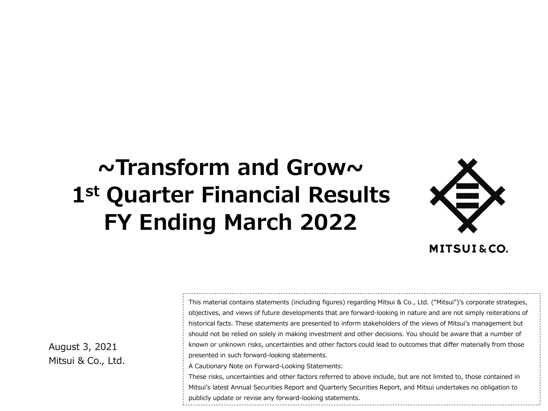## **~Transform and Grow~ 1st Quarter Financial Results FY Ending March 2022**



August 3, 2021 Mitsui & Co., Ltd. This material contains statements (including figures) regarding Mitsui & Co., Ltd. ("Mitsui")'s corporate strategies, objectives, and views of future developments that are forward-looking in nature and are not simply reiterations of historical facts. These statements are presented to inform stakeholders of the views of Mitsui's management but should not be relied on solely in making investment and other decisions. You should be aware that a number of known or unknown risks, uncertainties and other factors could lead to outcomes that differ materially from those presented in such forward-looking statements.

A Cautionary Note on Forward-Looking Statements:

These risks, uncertainties and other factors referred to above include, but are not limited to, those contained in Mitsui's latest Annual Securities Report and Quarterly Securities Report, and Mitsui undertakes no obligation to publicly update or revise any forward-looking statements.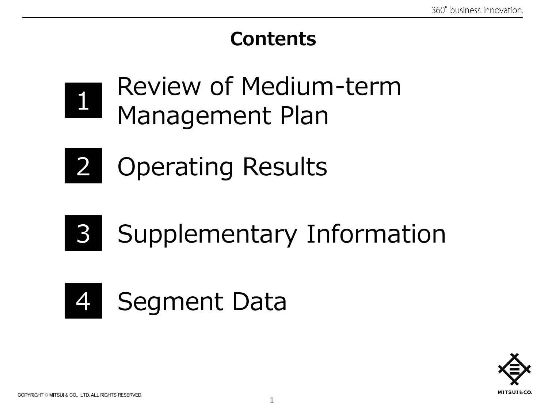## **Contents**



Review of Medium-term Management Plan



2 Operating Results

## Supplementary Information 3



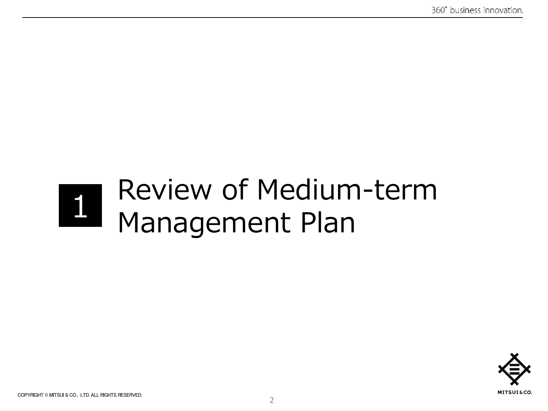## Review of Medium-term Management Plan

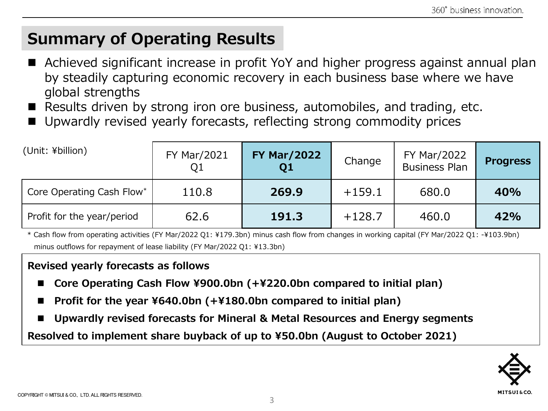## **Summary of Operating Results**

- Achieved significant increase in profit YoY and higher progress against annual plan by steadily capturing economic recovery in each business base where we have global strengths
- Results driven by strong iron ore business, automobiles, and trading, etc.
- Upwardly revised yearly forecasts, reflecting strong commodity prices

| (Unit: ¥billion)           | <b>FY Mar/2021</b><br>Q1 | <b>FY Mar/2022</b><br>Q <sub>1</sub> | Change   | <b>FY Mar/2022</b><br><b>Business Plan</b> | <b>Progress</b> |
|----------------------------|--------------------------|--------------------------------------|----------|--------------------------------------------|-----------------|
| Core Operating Cash Flow*  | 110.8                    | 269.9                                | $+159.1$ | 680.0                                      | 40%             |
| Profit for the year/period | 62.6                     | 191.3                                | $+128.7$ | 460.0                                      | 42%             |

\* Cash flow from operating activities (FY Mar/2022 Q1: ¥179.3bn) minus cash flow from changes in working capital (FY Mar/2022 Q1: -¥103.9bn) minus outflows for repayment of lease liability (FY Mar/2022 Q1: ¥13.3bn)

#### **Revised yearly forecasts as follows**

- ◼ **Core Operating Cash Flow ¥900.0bn (+¥220.0bn compared to initial plan)**
- ◼ **Profit for the year ¥640.0bn (+¥180.0bn compared to initial plan)**
- Upwardly revised forecasts for Mineral & Metal Resources and Energy segments

**Resolved to implement share buyback of up to ¥50.0bn (August to October 2021)**

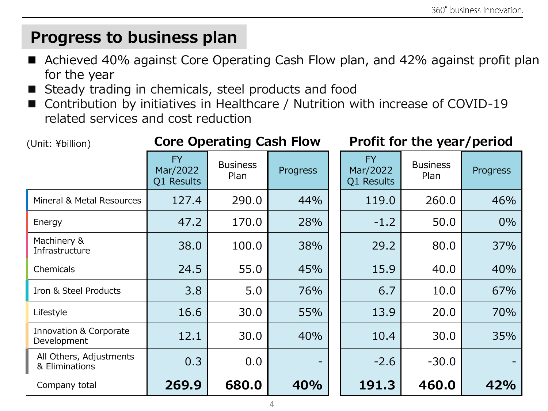## **Progress to business plan**

- Achieved 40% against Core Operating Cash Flow plan, and 42% against profit plan for the year
- Steady trading in chemicals, steel products and food
- ◼ Contribution by initiatives in Healthcare / Nutrition with increase of COVID-19 related services and cost reduction

| (Unit: ¥billion)                          |                                     | <b>Core Operating Cash Flow</b> |          | Profit for the year/period          |                         |          |  |
|-------------------------------------------|-------------------------------------|---------------------------------|----------|-------------------------------------|-------------------------|----------|--|
|                                           | <b>FY</b><br>Mar/2022<br>Q1 Results | <b>Business</b><br>Plan         | Progress | <b>FY</b><br>Mar/2022<br>Q1 Results | <b>Business</b><br>Plan | Progress |  |
| Mineral & Metal Resources                 | 127.4                               | 290.0                           | 44%      | 119.0                               | 260.0                   | 46%      |  |
| Energy                                    | 47.2                                | 170.0                           | 28%      | $-1.2$                              | 50.0                    | 0%       |  |
| Machinery &<br>Infrastructure             | 38.0                                | 100.0                           | 38%      | 29.2                                | 80.0                    | 37%      |  |
| Chemicals                                 | 24.5                                | 55.0                            | 45%      | 15.9                                | 40.0                    | 40%      |  |
| Iron & Steel Products                     | 3.8                                 | 5.0                             | 76%      | 6.7                                 | 10.0                    | 67%      |  |
| Lifestyle                                 | 16.6                                | 30.0                            | 55%      | 13.9                                | 20.0                    | 70%      |  |
| Innovation & Corporate<br>Development     | 12.1                                | 30.0                            | 40%      | 10.4                                | 30.0                    | 35%      |  |
| All Others, Adjustments<br>& Eliminations | 0.3                                 | 0.0                             |          | $-2.6$                              | $-30.0$                 |          |  |
| Company total                             | 269.9                               | 680.0                           | 40%      | 191.3                               | 460.0                   | 42%      |  |

4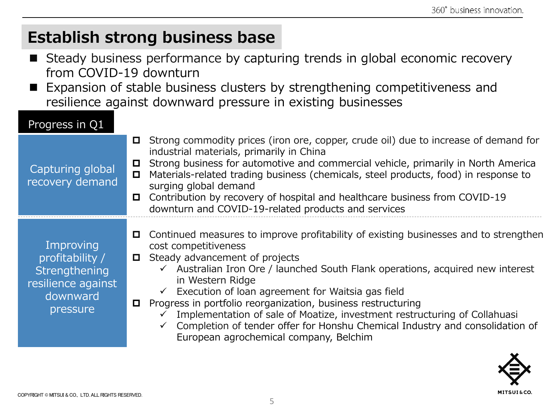## **Establish strong business base**

- Steady business performance by capturing trends in global economic recovery from COVID-19 downturn
- Expansion of stable business clusters by strengthening competitiveness and resilience against downward pressure in existing businesses

#### Progress in Q1

| Capturing global<br>recovery demand                                                         | Strong commodity prices (iron ore, copper, crude oil) due to increase of demand for<br>$\Box$<br>industrial materials, primarily in China<br>Strong business for automotive and commercial vehicle, primarily in North America<br>O<br>Materials-related trading business (chemicals, steel products, food) in response to<br>$\Box$<br>surging global demand<br>Contribution by recovery of hospital and healthcare business from COVID-19<br>О.<br>downturn and COVID-19-related products and services                                                                                                                       |
|---------------------------------------------------------------------------------------------|--------------------------------------------------------------------------------------------------------------------------------------------------------------------------------------------------------------------------------------------------------------------------------------------------------------------------------------------------------------------------------------------------------------------------------------------------------------------------------------------------------------------------------------------------------------------------------------------------------------------------------|
| Improving<br>profitability /<br>Strengthening<br>resilience against<br>downward<br>pressure | Continued measures to improve profitability of existing businesses and to strengthen<br>0<br>cost competitiveness<br>Steady advancement of projects<br>0<br>$\checkmark$ Australian Iron Ore / launched South Flank operations, acquired new interest<br>in Western Ridge<br>$\checkmark$ Execution of loan agreement for Waitsia gas field<br>Progress in portfolio reorganization, business restructuring<br>$\Box$<br>Implementation of sale of Moatize, investment restructuring of Collahuasi<br>← Completion of tender offer for Honshu Chemical Industry and consolidation of<br>European agrochemical company, Belchim |

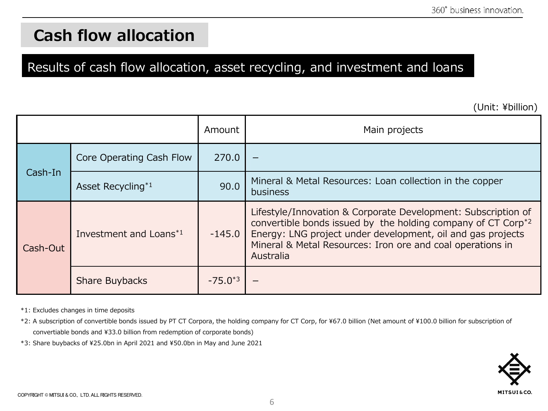## **Cash flow allocation**

#### Results of cash flow allocation, asset recycling, and investment and loans

(Unit: ¥billion)

|          |                                    | Amount       | Main projects                                                                                                                                                                                                                                                                       |
|----------|------------------------------------|--------------|-------------------------------------------------------------------------------------------------------------------------------------------------------------------------------------------------------------------------------------------------------------------------------------|
| Cash-In  | Core Operating Cash Flow           | 270.0        |                                                                                                                                                                                                                                                                                     |
|          | Asset Recycling*1                  | 90.0         | Mineral & Metal Resources: Loan collection in the copper<br>business                                                                                                                                                                                                                |
| Cash-Out | Investment and Loans <sup>*1</sup> | $-145.0$     | Lifestyle/Innovation & Corporate Development: Subscription of<br>convertible bonds issued by the holding company of CT Corp <sup>*2</sup><br>Energy: LNG project under development, oil and gas projects<br>Mineral & Metal Resources: Iron ore and coal operations in<br>Australia |
|          | Share Buybacks                     | $-75.0^{*3}$ |                                                                                                                                                                                                                                                                                     |

\*1: Excludes changes in time deposits

\*2: A subscription of convertible bonds issued by PT CT Corpora, the holding company for CT Corp, for ¥67.0 billion (Net amount of ¥100.0 billion for subscription of convertiable bonds and ¥33.0 billion from redemption of corporate bonds)

\*3: Share buybacks of ¥25.0bn in April 2021 and ¥50.0bn in May and June 2021

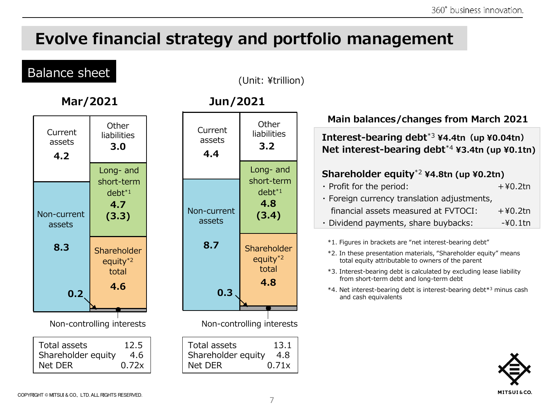## **Evolve financial strategy and portfolio management**

### Balance sheet

(Unit: ¥trillion)

| Current<br>assets<br>4.2                                                       | Other<br>liabilities<br>3.0                  |  |  |  |  |
|--------------------------------------------------------------------------------|----------------------------------------------|--|--|--|--|
|                                                                                | Long- and                                    |  |  |  |  |
| Non-current<br>assets                                                          | short-term<br>$debt*1$<br>4.7<br>(3.3)       |  |  |  |  |
| 8.3                                                                            | Shareholder<br>equity <sup>*2</sup><br>total |  |  |  |  |
| 0.2                                                                            | 4.6                                          |  |  |  |  |
| Non-controlling interests                                                      |                                              |  |  |  |  |
| <b>Total assets</b><br>12.5<br>Shareholder equity<br>- 4.6<br>Net DER<br>0.72x |                                              |  |  |  |  |

#### **Mar/2021 Jun/2021**



#### **Main balances/changes from March 2021**

**Interest-bearing debt**\*3 **¥4.4tn(up ¥0.04tn) Net interest-bearing debt**\*4 **¥3.4tn (up ¥0.1tn)**

#### **Shareholder equity**\*2 **¥4.8tn (up ¥0.2tn)**

| $\cdot$ Profit for the period:              | $+40.2$ tn |
|---------------------------------------------|------------|
| · Foreign currency translation adjustments, |            |
| financial assets measured at FVTOCI:        | $+40.2$ tn |
| · Dividend payments, share buybacks:        | -¥0.1tn    |

\*1. Figures in brackets are "net interest-bearing debt"

- \*2. In these presentation materials, "Shareholder equity" means total equity attributable to owners of the parent
- \*3. Interest-bearing debt is calculated by excluding lease liability from short-term debt and long-term debt
- \*4. Net interest-bearing debt is interest-bearing debt\*<sup>3</sup> minus cash and cash equivalents

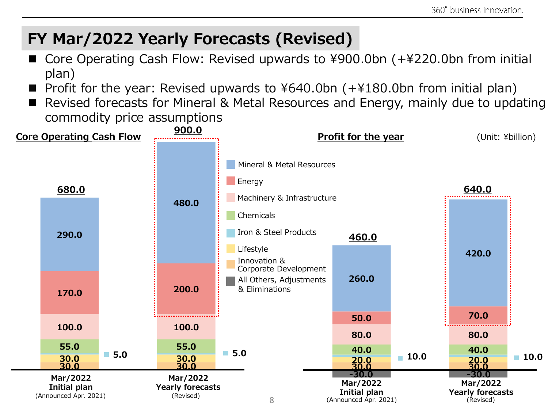## **FY Mar/2022 Yearly Forecasts (Revised)**

- ◼ Core Operating Cash Flow: Revised upwards to ¥900.0bn (+¥220.0bn from initial plan)
- Profit for the year: Revised upwards to  $4640.0$ bn  $(+4180.0$ bn from initial plan)
- Revised forecasts for Mineral & Metal Resources and Energy, mainly due to updating commodity price assumptions

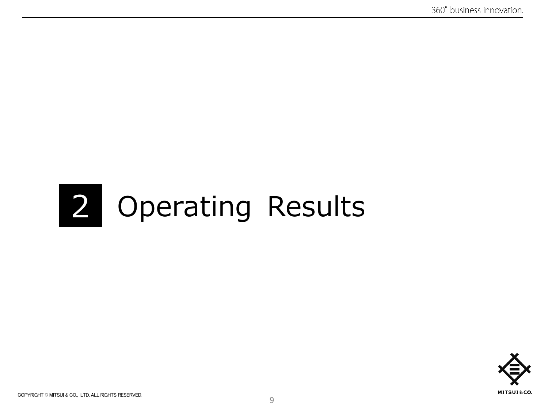# 2 Operating Results

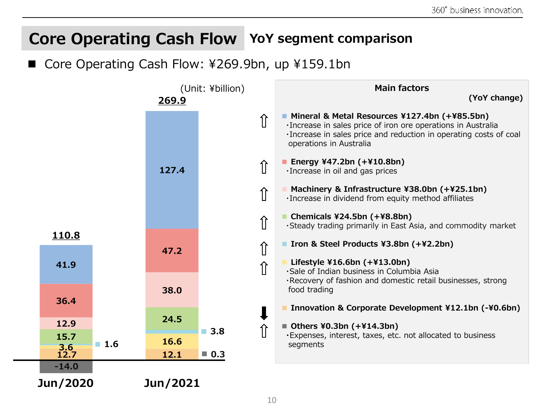## **Core Operating Cash Flow YoY segment comparison**

Core Operating Cash Flow: ¥269.9bn, up ¥159.1bn

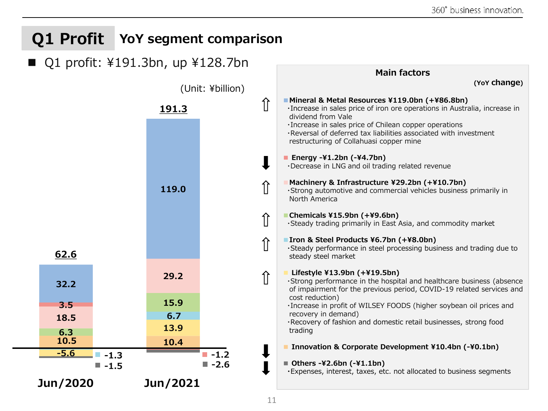## **Q1 Profit YoY segment comparison**

#### ■ Q1 profit: ¥191.3bn, up ¥128.7bn

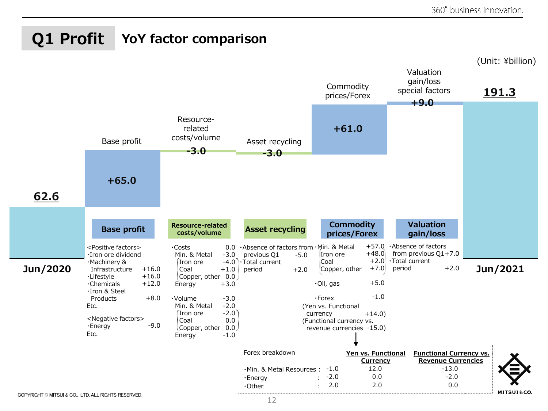### **YoY factor comparison Q1 Profit**

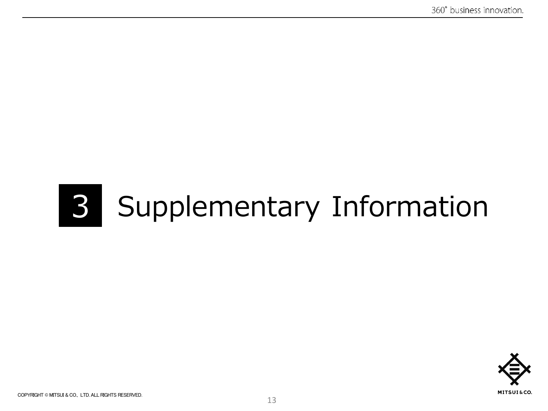# 3 Supplementary Information

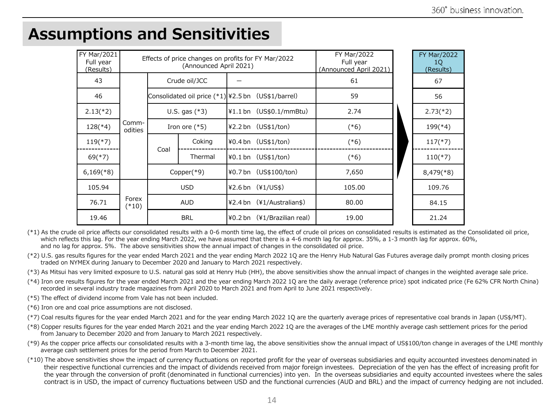| FY Mar/2021<br>Full year<br>(Results) |                  | Effects of price changes on profits for FY Mar/2022<br>(Announced April 2021) |                                                        |  |                                         | <b>FY Mar/2022</b><br>Full year<br>(Announced April 2021) | <b>FY Mar/2022</b><br>1Q<br>(Results) |  |  |  |         |  |                        |      |           |
|---------------------------------------|------------------|-------------------------------------------------------------------------------|--------------------------------------------------------|--|-----------------------------------------|-----------------------------------------------------------|---------------------------------------|--|--|--|---------|--|------------------------|------|-----------|
| 43                                    |                  |                                                                               | Crude oil/JCC                                          |  |                                         | 61                                                        | 67                                    |  |  |  |         |  |                        |      |           |
| 46                                    |                  |                                                                               | Consolidated oil price $(*1)$ $*2.5$ bn (US\$1/barrel) |  |                                         | 59                                                        | 56                                    |  |  |  |         |  |                        |      |           |
| $2.13(*2)$                            |                  |                                                                               | U.S. gas $(*3)$                                        |  | $\yen 1.1$ bn $(US$0.1/mmBtu)$          | 2.74                                                      | $2.73(*)$                             |  |  |  |         |  |                        |      |           |
| $128$ (*4)                            | Comm-<br>odities |                                                                               | Iron ore $(*5)$                                        |  | $42.2$ bn $(US$1/ton)$                  | $(*6)$                                                    | $199$ (*4)                            |  |  |  |         |  |                        |      |           |
| $119(*)7)$                            |                  |                                                                               | Coking                                                 |  | $40.4 \text{ bn}$ (US\$1/ton)           | $(*6)$                                                    | $117$ (*7)                            |  |  |  |         |  |                        |      |           |
| $69$ (*7)                             |                  | Coal                                                                          |                                                        |  |                                         |                                                           |                                       |  |  |  | Thermal |  | $40.1$ bn $(US$1/ton)$ | (*6) | $110(*7)$ |
| $6,169$ <sup>(*8)</sup>               |                  |                                                                               | Copper $(*9)$                                          |  | ¥0.7 bn (US\$100/ton)                   | 7,650                                                     | $8,479$ <sup>(*8)</sup>               |  |  |  |         |  |                        |      |           |
| 105.94                                |                  | <b>USD</b><br><b>AUD</b>                                                      |                                                        |  | $42.6 \,\text{bn}$ ( $41/\text{US}\$ )  | 105.00                                                    | 109.76                                |  |  |  |         |  |                        |      |           |
| 76.71                                 | Forex<br>$(*10)$ |                                                                               |                                                        |  | $42.4 \text{ bn}$ ( $41/A$ ustralian\$) | 80.00                                                     | 84.15                                 |  |  |  |         |  |                        |      |           |
| 19.46                                 |                  |                                                                               | <b>BRL</b>                                             |  | $40.2$ bn $(41/Brazilian real)$         | 19.00                                                     | 21.24                                 |  |  |  |         |  |                        |      |           |

### **Assumptions and Sensitivities**

(\*1) As the crude oil price affects our consolidated results with a 0-6 month time lag, the effect of crude oil prices on consolidated results is estimated as the Consolidated oil price, which reflects this lag. For the year ending March 2022, we have assumed that there is a 4-6 month lag for approx. 35%, a 1-3 month lag for approx. 60%, and no lag for approx. 5%. The above sensitivities show the annual impact of changes in the consolidated oil price.

(\*2) U.S. gas results figures for the year ended March 2021 and the year ending March 2022 1Q are the Henry Hub Natural Gas Futures average daily prompt month closing prices traded on NYMEX during January to December 2020 and January to March 2021 respectively.

(\*3) As Mitsui has very limited exposure to U.S. natural gas sold at Henry Hub (HH), the above sensitivities show the annual impact of changes in the weighted average sale price.

- (\*4) Iron ore results figures for the year ended March 2021 and the year ending March 2022 1Q are the daily average (reference price) spot indicated price (Fe 62% CFR North China) recorded in several industry trade magazines from April 2020 to March 2021 and from April to June 2021 respectively.
- (\*5) The effect of dividend income from Vale has not been included.
- (\*6) Iron ore and coal price assumptions are not disclosed.
- (\*7) Coal results figures for the year ended March 2021 and for the year ending March 2022 1Q are the quarterly average prices of representative coal brands in Japan (US\$/MT).
- (\*8) Copper results figures for the year ended March 2021 and the year ending March 2022 1Q are the averages of the LME monthly average cash settlement prices for the period from January to December 2020 and from January to March 2021 respectively.
- (\*9) As the copper price affects our consolidated results with a 3-month time lag, the above sensitivities show the annual impact of US\$100/ton change in averages of the LME monthly average cash settlement prices for the period from March to December 2021.
- (\*10) The above sensitivities show the impact of currency fluctuations on reported profit for the year of overseas subsidiaries and equity accounted investees denominated in their respective functional currencies and the impact of dividends received from major foreign investees. Depreciation of the yen has the effect of increasing profit for the year through the conversion of profit (denominated in functional currencies) into yen. In the overseas subsidiaries and equity accounted investees where the sales contract is in USD, the impact of currency fluctuations between USD and the functional currencies (AUD and BRL) and the impact of currency hedging are not included.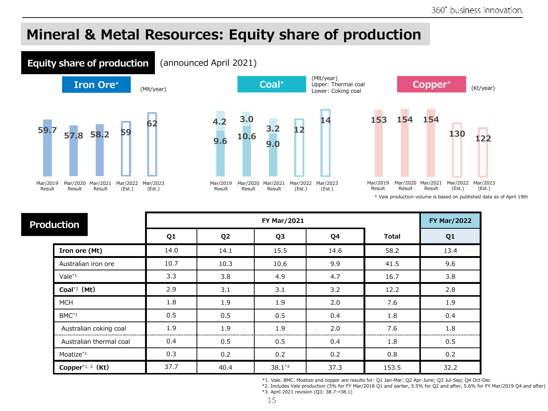### **Mineral & Metal Resources: Equity share of production**







\* Vale production volume is based on published data as of April 19th

| <b>Production</b>            |      | <b>FY Mar/2022</b> |                |      |              |      |
|------------------------------|------|--------------------|----------------|------|--------------|------|
|                              | Q1   | Q <sub>2</sub>     | Q <sub>3</sub> | Q4   | <b>Total</b> | Q1   |
| Iron ore (Mt)                | 14.0 | 14.1               | 15.5           | 14.6 | 58.2         | 13.4 |
| Australian iron ore          | 10.7 | 10.3               | 10.6           | 9.9  | 41.5         | 9.6  |
| $Vale^{*1}$                  | 3.3  | 3.8                | 4.9            | 4.7  | 16.7         | 3.8  |
| Coal $*^2$ (Mt)              | 2.9  | 3.1                | 3.1            | 3.2  | 12.2         | 2.8  |
| <b>MCH</b>                   | 1.8  | 1.9                | 1.9            | 2.0  | 7.6          | 1.9  |
| $BMC^{*1}$                   | 0.5  | 0.5                | 0.5            | 0.4  | 1.8          | 0.4  |
| Australian coking coal       | 1.9  | 1.9                | 1.9            | 2.0  | 7.6          | 1.8  |
| Australian thermal coal      | 0.4  | 0.5                | 0.5            | 0.4  | 1.8          | 0.5  |
| Moatize*1                    | 0.3  | 0.2                | 0.2            | 0.2  | 0.8          | 0.2  |
| Copper <sup>*1, 2</sup> (Kt) | 37.7 | 40.4               | $38.1*3$       | 37.3 | 153.5        | 32.2 |

\*1. Vale、BMC、Moatize and copper are results for: Q1 Jan-Mar; Q2 Apr-June; Q3 Jul-Sep; Q4 Oct-Dec

\*2. Includes Vale production (5% for FY Mar/2018 Q1 and earlier, 5.5% for Q2 and after, 5.6% for FY Mar/2019 Q4 and after) \*3. April 2021 revision (Q3: 38.7→38.1)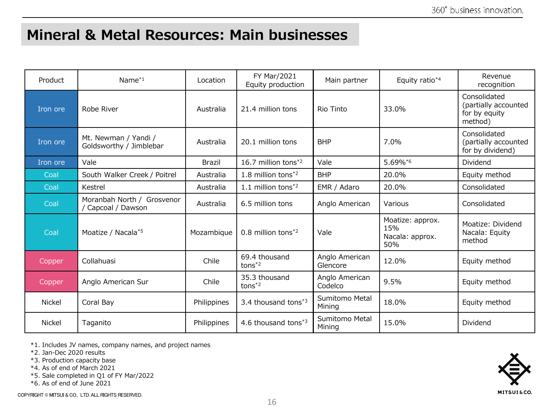#### **Mineral & Metal Resources: Main businesses**

| Product       | Name $*1$                                       | Location      | FY Mar/2021<br>Equity production | Main partner               | Equity ratio*4                                    | Revenue<br>recognition                                           |
|---------------|-------------------------------------------------|---------------|----------------------------------|----------------------------|---------------------------------------------------|------------------------------------------------------------------|
| Iron ore      | Robe River                                      | Australia     | 21.4 million tons                | Rio Tinto                  | 33.0%                                             | Consolidated<br>(partially accounted<br>for by equity<br>method) |
| Iron ore      | Mt. Newman / Yandi /<br>Goldsworthy / Jimblebar | Australia     | 20.1 million tons                | <b>BHP</b>                 | 7.0%                                              | Consolidated<br>(partially accounted<br>for by dividend)         |
| Iron ore      | Vale                                            | <b>Brazil</b> | 16.7 million tons <sup>*2</sup>  | Vale                       | 5.69%*6                                           | Dividend                                                         |
| Coal          | South Walker Creek / Poitrel                    | Australia     | 1.8 million tons*2               | <b>BHP</b>                 | 20.0%                                             | Equity method                                                    |
| Coal          | Kestrel                                         | Australia     | 1.1 million tons $*^2$           | EMR / Adaro                | 20.0%                                             | Consolidated                                                     |
| Coal          | Moranbah North / Grosvenor<br>Capcoal / Dawson  | Australia     | 6.5 million tons                 | Anglo American             | Various                                           | Consolidated                                                     |
| Coal          | Moatize / Nacala*5                              | Mozambique    | $0.8$ million tons <sup>*2</sup> | Vale                       | Moatize: approx.<br>15%<br>Nacala: approx.<br>50% | Moatize: Dividend<br>Nacala: Equity<br>method                    |
| Copper        | Collahuasi                                      | Chile         | 69.4 thousand<br>$tons*2}$       | Anglo American<br>Glencore | 12.0%                                             | Equity method                                                    |
| Copper        | Anglo American Sur                              | Chile         | 35.3 thousand<br>$tons*2}$       | Anglo American<br>Codelco  | 9.5%                                              | Equity method                                                    |
| <b>Nickel</b> | Coral Bay                                       | Philippines   | 3.4 thousand tons*3              | Sumitomo Metal<br>Mining   | 18.0%                                             | Equity method                                                    |
| <b>Nickel</b> | Taganito                                        | Philippines   | 4.6 thousand tons $*3$           | Sumitomo Metal<br>Mining   | 15.0%                                             | Dividend                                                         |

\*1. Includes JV names, company names, and project names

\*2. Jan-Dec 2020 results

\*3. Production capacity base

\*4. As of end of March 2021

\*5. Sale completed in Q1 of FY Mar/2022

\*6. As of end of June 2021

COPYRIGHT © MITSUI & CO., LTD. ALL RIGHTS RESERVED.

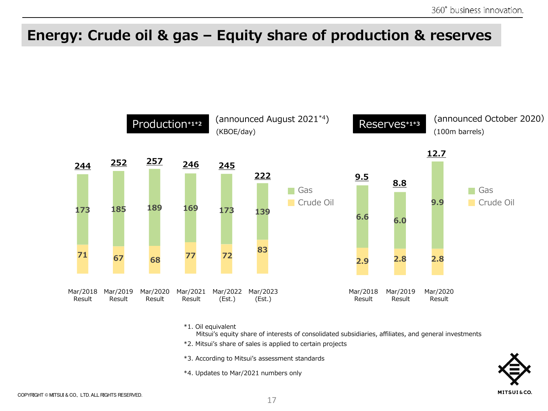## **Energy: Crude oil & gas – Equity share of production & reserves**



\*1. Oil equivalent

Mitsui's equity share of interests of consolidated subsidiaries, affiliates, and general investments

- \*2. Mitsui's share of sales is applied to certain projects
- \*3. According to Mitsui's assessment standards
- \*4. Updates to Mar/2021 numbers only

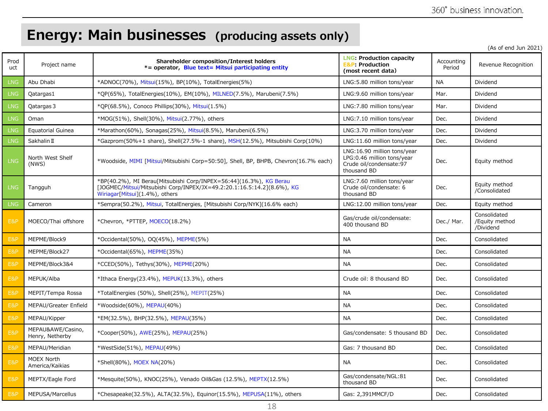## **Energy: Main businesses (producing assets only)**

(As of end Jun 2021)

| Prod<br>uct      | Project name                         | Shareholder composition/Interest holders<br>*= operator, Blue text= Mitsui participating entity                                                                                | <b>LNG: Production capacity</b><br><b>E&amp;P: Production</b><br>(most recent data)                 | Accounting<br>Period | Revenue Recognition                         |
|------------------|--------------------------------------|--------------------------------------------------------------------------------------------------------------------------------------------------------------------------------|-----------------------------------------------------------------------------------------------------|----------------------|---------------------------------------------|
| <b>LNG</b>       | Abu Dhabi                            | *ADNOC(70%), Mitsui(15%), BP(10%), TotalEnergies(5%)                                                                                                                           | LNG:5.80 million tons/year                                                                          | <b>NA</b>            | Dividend                                    |
| <b>LNG</b>       | Qatargas1                            | *OP(65%), TotalEnergies(10%), EM(10%), MILNED(7.5%), Marubeni(7.5%)                                                                                                            | LNG:9.60 million tons/year                                                                          | Mar.                 | Dividend                                    |
| <b>LNG</b>       | Qatargas 3                           | *QP(68.5%), Conoco Phillips(30%), Mitsui(1.5%)                                                                                                                                 | LNG:7.80 million tons/year                                                                          | Mar.                 | Dividend                                    |
| LNG <sup>'</sup> | Oman                                 | *MOG(51%), Shell(30%), Mitsui(2.77%), others                                                                                                                                   | LNG:7.10 million tons/year                                                                          | Dec.                 | Dividend                                    |
| <b>LNG</b>       | <b>Equatorial Guinea</b>             | *Marathon(60%), Sonagas(25%), Mitsui(8.5%), Marubeni(6.5%)                                                                                                                     | LNG:3.70 million tons/year                                                                          | Dec.                 | Dividend                                    |
| <b>LNG</b>       | Sakhalin II                          | *Gazprom(50%+1 share), Shell(27.5%-1 share), MSH(12.5%), Mitsubishi Corp(10%)                                                                                                  | LNG:11.60 million tons/year                                                                         | Dec.                 | Dividend                                    |
| <b>LNG</b>       | North West Shelf<br>(NWS)            | *Woodside, MIMI [Mitsui/Mitsubishi Corp=50:50], Shell, BP, BHPB, Chevron(16.7% each)                                                                                           | LNG:16.90 million tons/year<br>LPG:0.46 million tons/year<br>Crude oil/condensate:97<br>thousand BD | Dec.                 | Equity method                               |
| <b>LNG</b>       | Tangguh                              | *BP(40.2%), MI Berau[Mitsubishi Corp/INPEX=56:44](16.3%), KG Berau<br>[JOGMEC/Mitsui/Mitsubishi Corp/INPEX/JX=49.2:20.1:16.5:14.2](8.6%), KG<br>Wiriagar[Mitsui](1.4%), others | LNG:7.60 million tons/year<br>Crude oil/condensate: 6<br>thousand BD                                | Dec.                 | Equity method<br>/Consolidated              |
| <b>LNG</b>       | Cameron                              | *Sempra(50.2%), Mitsui, TotalEnergies, [Mitsubishi Corp/NYK](16.6% each)                                                                                                       | LNG:12.00 million tons/year                                                                         | Dec.                 | Equity method                               |
| <b>E&amp;P</b>   | MOECO/Thai offshore                  | *Chevron, *PTTEP, MOECO(18.2%)                                                                                                                                                 | Gas/crude oil/condensate:<br>400 thousand BD                                                        | Dec./ Mar.           | Consolidated<br>/Equity method<br>/Dividend |
| <b>E&amp;P</b>   | MEPME/Block9                         | *Occidental(50%), OQ(45%), MEPME(5%)                                                                                                                                           | <b>NA</b>                                                                                           | Dec.                 | Consolidated                                |
| E&P              | MEPME/Block27                        | *Occidental(65%), MEPME(35%)                                                                                                                                                   | <b>NA</b>                                                                                           | Dec.                 | Consolidated                                |
| E&P              | MEPME/Block3&4                       | *CCED(50%), Tethys(30%), MEPME(20%)                                                                                                                                            | <b>NA</b>                                                                                           | Dec.                 | Consolidated                                |
| <b>E&amp;P</b>   | MEPUK/Alba                           | *Ithaca Energy(23.4%), MEPUK(13.3%), others                                                                                                                                    | Crude oil: 8 thousand BD                                                                            | Dec.                 | Consolidated                                |
| E&P              | MEPIT/Tempa Rossa                    | *TotalEnergies (50%), Shell(25%), MEPIT(25%)                                                                                                                                   | <b>NA</b>                                                                                           | Dec.                 | Consolidated                                |
| <b>E&amp;P</b>   | MEPAU/Greater Enfield                | *Woodside(60%), MEPAU(40%)                                                                                                                                                     | <b>NA</b>                                                                                           | Dec.                 | Consolidated                                |
| <b>E&amp;P</b>   | MEPAU/Kipper                         | *EM(32.5%), BHP(32.5%), MEPAU(35%)                                                                                                                                             | <b>NA</b>                                                                                           | Dec.                 | Consolidated                                |
| E&P              | MEPAU&AWE/Casino,<br>Henry, Netherby | *Cooper(50%), AWE(25%), MEPAU(25%)                                                                                                                                             | Gas/condensate: 5 thousand BD                                                                       | Dec.                 | Consolidated                                |
| <b>E&amp;P</b>   | MEPAU/Meridian                       | *WestSide(51%), MEPAU(49%)                                                                                                                                                     | Gas: 7 thousand BD                                                                                  | Dec.                 | Consolidated                                |
| <b>E&amp;P</b>   | MOEX North<br>America/Kaikias        | *Shell(80%), MOEX NA(20%)                                                                                                                                                      | <b>NA</b>                                                                                           | Dec.                 | Consolidated                                |
| E&P              | MEPTX/Eagle Ford                     | *Mesquite(50%), KNOC(25%), Venado Oil&Gas (12.5%), MEPTX(12.5%)                                                                                                                | Gas/condensate/NGL:81<br>thousand BD                                                                | Dec.                 | Consolidated                                |
| E&P              | MEPUSA/Marcellus                     | *Chesapeake(32.5%), ALTA(32.5%), Equinor(15.5%), MEPUSA(11%), others                                                                                                           | Gas: 2,391MMCF/D                                                                                    | Dec.                 | Consolidated                                |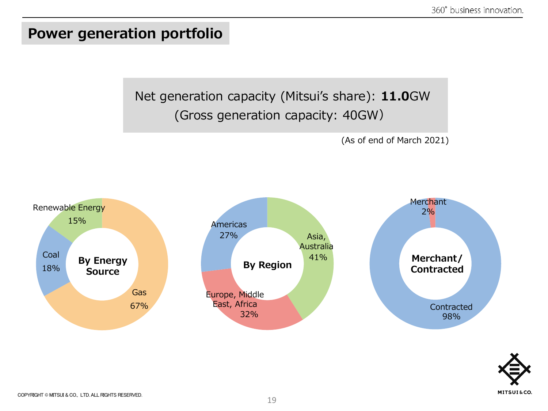#### **Power generation portfolio**

Net generation capacity (Mitsui's share): **11.0**GW (Gross generation capacity: 40GW)

(As of end of March 2021)



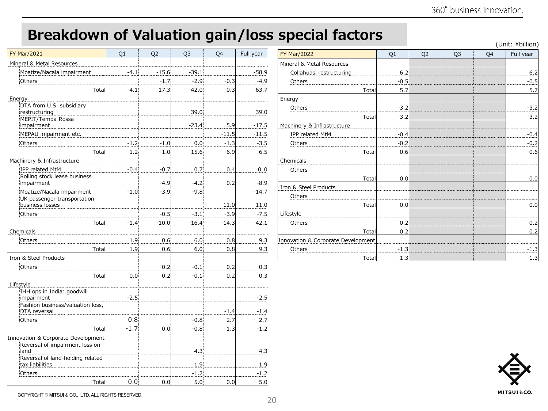## **Breakdown of Valuation gain/loss special factors**

(Unit: ¥billion)

| <b>FY Mar/2021</b>                                       | Q1     | Q <sub>2</sub> | Q3      | Q4      | Full year |
|----------------------------------------------------------|--------|----------------|---------|---------|-----------|
| Mineral & Metal Resources                                |        |                |         |         |           |
| Moatize/Nacala impairment                                | $-4.1$ | $-15.6$        | $-39.1$ |         | $-58.9$   |
| Others                                                   |        | $-1.7$         | $-2.9$  | $-0.3$  | $-4.9$    |
| Total                                                    | $-4.1$ | $-17.3$        | $-42.0$ | $-0.3$  | $-63.7$   |
| Energy                                                   |        |                |         |         |           |
| DTA from U.S. subsidiary<br>restructuring                |        |                | 39.0    |         | 39.0      |
| MEPIT/Tempa Rossa<br>impairment                          |        |                | $-23.4$ | 5.9     | $-17.5$   |
| MEPAU impairment etc.                                    |        |                |         | $-11.5$ | $-11.5$   |
| Others                                                   | $-1.2$ | $-1.0$         | 0.0     | $-1.3$  | $-3.5$    |
| Total                                                    | $-1.2$ | $-1.0$         | 15.6    | $-6.9$  | 6.5       |
| Machinery & Infrastructure                               |        |                |         |         |           |
| IPP related MtM                                          | $-0.4$ | $-0.7$         | 0.7     | 0.4     | 0.0       |
| Rolling stock lease business<br>impairment               |        | $-4.9$         | $-4.2$  | 0.2     | $-8.9$    |
| Moatize/Nacala impairment<br>UK passenger transportation | $-1.0$ | $-3.9$         | $-9.8$  |         | $-14.7$   |
| business losses                                          |        |                |         | $-11.0$ | $-11.0$   |
| Others                                                   |        | $-0.5$         | $-3.1$  | $-3.9$  | $-7.5$    |
| Total<br>Chemicals                                       | $-1.4$ | $-10.0$        | $-16.4$ | $-14.3$ | $-42.1$   |
| Others                                                   | 1.9    | 0.6            | 6.0     | 0.8     | 9.3       |
| Total                                                    | 1.9    | 0.6            | 6.0     | 0.8     | 9.3       |
| Iron & Steel Products                                    |        |                |         |         |           |
| Others                                                   |        | 0.2            | $-0.1$  | 0.2     | 0.3       |
| Total                                                    | 0.0    | 0.2            | $-0.1$  | 0.2     | 0.3       |
| Lifestyle                                                |        |                |         |         |           |
| IHH ops in India: goodwill<br>impairment                 | $-2.5$ |                |         |         | $-2.5$    |
| Fashion business/valuation loss,<br>DTA reversal         |        |                |         | $-1.4$  | $-1.4$    |
| Others                                                   | 0.8    |                | $-0.8$  | 2.7     | 2.7       |
| Total                                                    | $-1.7$ | 0.0            | $-0.8$  | 1.3     | $-1.2$    |
| Innovation & Corporate Development                       |        |                |         |         |           |
| Reversal of impairment loss on<br>land                   |        |                | 4.3     |         | 4.3       |
| Reversal of land-holding related<br>tax liabilities      |        |                | 1.9     |         | 1.9       |
| Others                                                   |        |                | $-1.2$  |         | $-1.2$    |
| Total                                                    | 0.0    | 0.0            | 5.0     | 0.0     | 5.0       |

| <b>FY Mar/2022</b>                 | Q1     | Q <sub>2</sub> | Q3 | Q4 | Full year |
|------------------------------------|--------|----------------|----|----|-----------|
| Mineral & Metal Resources          |        |                |    |    |           |
| Collahuasi restructuring           | 6.2    |                |    |    | 6.2       |
| Others                             | $-0.5$ |                |    |    | $-0.5$    |
| Total                              | 5.7    |                |    |    | 5.7       |
| Energy                             |        |                |    |    |           |
| Others                             | $-3.2$ |                |    |    | $-3.2$    |
| Total                              | $-3.2$ |                |    |    | $-3.2$    |
| Machinery & Infrastructure         |        |                |    |    |           |
| IPP related MtM                    | $-0.4$ |                |    |    | $-0.4$    |
| Others                             | $-0.2$ |                |    |    | $-0.2$    |
| Total                              | $-0.6$ |                |    |    | $-0.6$    |
| Chemicals                          |        |                |    |    |           |
| Others                             |        |                |    |    |           |
| Total                              | 0.0    |                |    |    | 0.0       |
| Iron & Steel Products              |        |                |    |    |           |
| Others                             |        |                |    |    |           |
| Total                              | 0.0    |                |    |    | 0.0       |
| Lifestyle                          |        |                |    |    |           |
| Others                             | 0.2    |                |    |    | 0.2       |
| Total                              | 0.2    |                |    |    | 0.2       |
| Innovation & Corporate Development |        |                |    |    |           |
| Others                             | $-1.3$ |                |    |    | $-1.3$    |
| Total                              | $-1.3$ |                |    |    | $-1.3$    |

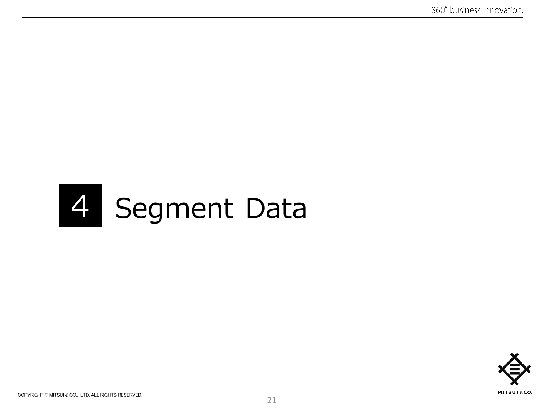## 4 Segment Data

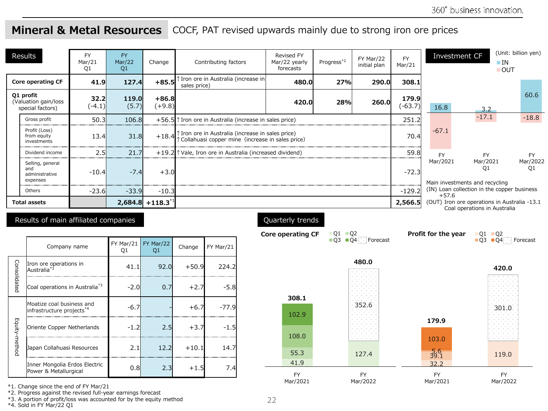#### **Mineral & Metal Resources** COCF, PAT revised upwards mainly due to strong iron ore prices

|               | Results                                                            | <b>FY</b><br>Mar/21<br>Q1 | FY<br>Mar/22<br>Q1 | Change              |              | Contributing factors                                                                                    | <b>Revised FY</b><br>Mar/22 yearly<br>forecasts | Progress*2                                       | FY Mar/22<br>initial plan | <b>FY</b><br>Mar/21 | Investment CF                              |                                         | (Unit: billion yen)<br>$\blacksquare$ IN<br>$\blacksquare$ OUT |
|---------------|--------------------------------------------------------------------|---------------------------|--------------------|---------------------|--------------|---------------------------------------------------------------------------------------------------------|-------------------------------------------------|--------------------------------------------------|---------------------------|---------------------|--------------------------------------------|-----------------------------------------|----------------------------------------------------------------|
|               | <b>Core operating CF</b>                                           | 41.9                      | 127.4              | $+85.5$             | sales price) | ↑ Iron ore in Australia (increase in                                                                    | 480.0                                           | 27%                                              | 290.0                     | 308.1               |                                            |                                         |                                                                |
|               | Q1 profit<br>(Valuation gain/loss<br>special factors)              | 32.2<br>$(-4.1)$          | 119.0<br>(5.7)     | $+86.8$<br>$(+9.8)$ |              |                                                                                                         | 420.0                                           | 28%                                              | 260.0                     | 179.9<br>$(-63.7)$  | 16.8                                       | 3.2                                     | 60.6                                                           |
|               | Gross profit                                                       | 50.3                      | 106.8              |                     |              | +56.5 $\uparrow$ Iron ore in Australia (increase in sales price)                                        |                                                 |                                                  |                           | 251.2               |                                            | $-17.1$                                 | $-18.8$                                                        |
|               | Profit (Loss)<br>from equity<br>investments                        | 13.4                      | 31.8               | $+18.4$             |              | Tron ore in Australia (increase in sales price)<br>The Collahuasi copper mine (increase in sales price) | 70.4                                            | $-67.1$                                          |                           |                     |                                            |                                         |                                                                |
|               | Dividend income                                                    | 2.5                       | 21.7               |                     |              | $+19.2$ T Vale, Iron ore in Australia (increased dividend)                                              |                                                 |                                                  |                           | 59.8                | <b>FY</b>                                  | <b>FY</b>                               | <b>FY</b>                                                      |
|               | Selling, general<br>and<br>administrative<br>expenses              | $-10.4$                   | $-7.4$             | $+3.0$              |              |                                                                                                         |                                                 |                                                  |                           | $-72.3$             | Mar/2021<br>Main investments and recycling | Mar/2021<br>O1                          | Mar/2022<br>Q1                                                 |
|               | Others                                                             | $-23.6$                   | $-33.9$            | $-10.3$             |              |                                                                                                         |                                                 |                                                  |                           | $-129.2$            | $+57.6$                                    |                                         | (IN) Loan collection in the copper business                    |
|               | $2,684.8$ +118.3 <sup>*</sup><br><b>Total assets</b>               |                           |                    |                     |              |                                                                                                         |                                                 |                                                  |                           | 2,566.5             |                                            | Coal operations in Australia            | (OUT) Iron ore operations in Australia -13.1                   |
|               | Results of main affiliated companies                               |                           |                    |                     |              |                                                                                                         | Quarterly trends<br><b>Core operating CF</b>    | $Q1$ $Q2$<br>$\blacksquare$ 03 $\blacksquare$ 04 | Forecast                  |                     | Profit for the year                        | $Q1$ $Q2$<br>$\Box$ Q3 $\Box$ Q4 $\Box$ | Forecast                                                       |
|               | Company name                                                       |                           | FY Mar/21<br>Q1    | FY Mar/22<br>Q1     | Change       | FY Mar/21                                                                                               |                                                 |                                                  |                           |                     |                                            |                                         |                                                                |
| Consolidated  | Iron ore operations in<br>Australia <sup>*3</sup>                  |                           | 41.1               | 92.0                | $+50.9$      | 224.2                                                                                                   |                                                 |                                                  | 480.0                     |                     |                                            |                                         | 420.0                                                          |
|               | Coal operations in Australia*3                                     |                           | $-2.0$             | 0.7                 | $+2.7$       | $-5.8$                                                                                                  | 308.1                                           |                                                  |                           |                     |                                            |                                         |                                                                |
|               | Moatize coal business and<br>infrastructure projects <sup>*4</sup> |                           | $-6.7$             |                     | $+6.7$       | $-77.9$                                                                                                 | 102.9                                           |                                                  | 352.6                     |                     |                                            |                                         | 301.0                                                          |
| Equity-method | Oriente Copper Netherlands                                         |                           | $-1.2$             | 2.5                 | $+3.7$       | $-1.5$                                                                                                  | 108.0                                           |                                                  |                           |                     | 179.9                                      |                                         |                                                                |
|               | Japan Collahuasi Resources                                         |                           | 2.1                | 12.2                | $+10.1$      | 14.7                                                                                                    | 55.3                                            |                                                  | 127.4                     |                     | 103.0<br>$\frac{5.6}{39.1}$                |                                         | ana ny faritr'i<br>119.0                                       |
|               | Inner Mongolia Erdos Electric                                      |                           | 0.8                | 2.3                 | $+1.5$       | 7.4                                                                                                     | 41.9                                            |                                                  |                           |                     | 32.2                                       |                                         |                                                                |
|               | Power & Metallurgical                                              |                           |                    |                     |              |                                                                                                         | <b>FY</b><br>Mar/2021                           |                                                  | <b>FY</b><br>Mar/2022     |                     | <b>FY</b><br>Mar/2021                      |                                         | <b>FY</b><br>Mar/2022                                          |

\*1. Change since the end of FY Mar/21

\*2. Progress against the revised full-year earnings forecast

\*3. A portion of profit/loss was accounted for by the equity method

\*4. Sold in FY Mar/22 Q1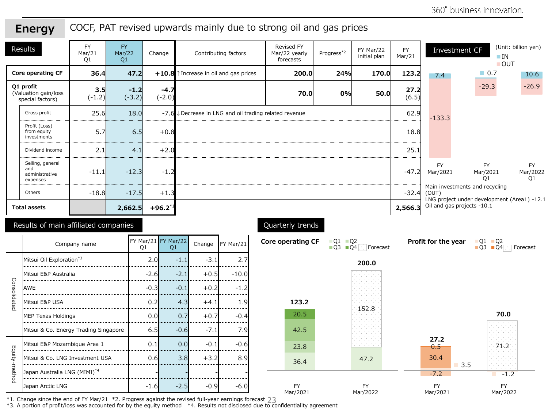#### COCF, PAT revised upwards mainly due to strong oil and gas prices **Energy**

| Results |                                                       | <b>FY</b><br>Mar/21<br>Q1 | <b>FY</b><br>Mar/22<br>Q1 | Change             | Contributing factors                                     | <b>Revised FY</b><br>Mar/22 yearly<br>forecasts | Progress*2 | FY Mar/22<br>initial plan | <b>FY</b><br>Mar/21 |                       | Investment CF<br>$\blacksquare$ IN                                        | (Unit: billion yen)<br><b>OUT</b> |
|---------|-------------------------------------------------------|---------------------------|---------------------------|--------------------|----------------------------------------------------------|-------------------------------------------------|------------|---------------------------|---------------------|-----------------------|---------------------------------------------------------------------------|-----------------------------------|
|         | Core operating CF                                     | 36.4                      | 47.2                      |                    | $+10.8$ T Increase in oil and gas prices                 | 200.0                                           | 24%        | 170.0                     | 123.2               | 7.4                   | $\Box$ 0.7                                                                | 10.6                              |
|         | Q1 profit<br>(Valuation gain/loss<br>special factors) | 3.5<br>$(-1.2)$           | $-1.2$<br>$(-3.2)$        | $-4.7$<br>$(-2.0)$ |                                                          | 70.0                                            | 0%         | 50.0                      | 27.2<br>(6.5)       |                       | $-29.3$                                                                   | $-26.9$                           |
|         | Gross profit                                          | 25.6                      | 18.0                      |                    | $-7.6$ . Decrease in LNG and oil trading related revenue |                                                 |            |                           | 62.9                | $-133.3$              |                                                                           |                                   |
|         | Profit (Loss)<br>from equity<br>investments           | 5.7                       | 6.5                       | $+0.8$             |                                                          |                                                 |            |                           | 18.8                |                       |                                                                           |                                   |
|         | Dividend income                                       | 2.1                       | 4.1                       | $+2.0$             |                                                          |                                                 |            |                           | 25.1                |                       |                                                                           |                                   |
|         | Selling, general<br>and<br>administrative<br>expenses | $-11.1$                   | $-12.3$                   | $-1.2$             |                                                          |                                                 |            |                           | $-47.2$             | <b>FY</b><br>Mar/2021 | <b>FY</b><br>Mar/2021<br>O1                                               | <b>FY</b><br>Mar/2022<br>O1       |
|         | Others                                                | $-18.8$                   | $-17.5$                   | $+1.3$             |                                                          |                                                 |            |                           | $-32.4$             | (OUT)                 | Main investments and recycling                                            |                                   |
|         | <b>Total assets</b>                                   |                           | 2,662.5                   | $+96.2^{*1}$       |                                                          |                                                 |            |                           | 2,566.3             |                       | LNG project under development (Area1) -12.1<br>Oil and gas projects -10.1 |                                   |

#### Results of main affiliated companies

|               | Company name                             | Q1      | FY Mar/21  FY Mar/22<br>Q1 | Change | FY Mar/21 |
|---------------|------------------------------------------|---------|----------------------------|--------|-----------|
|               | Mitsui Oil Exploration <sup>*3</sup>     | 2.01    | $-1.1$                     | $-3.1$ | 2.7       |
|               | Mitsui E&P Australia                     | $-2.6$  | $-2.1$                     | $+0.5$ | $-10.0$   |
| Consolidated  | AWE                                      | $-0.31$ | $-0.1$                     | $+0.2$ | $-1.2$    |
|               | Mitsui E&P USA                           | 0.2     | 4.3                        | $+4.1$ | 1.9       |
|               | <b>MEP Texas Holdings</b>                | 0.01    | 0.7                        | $+0.7$ | $-0.4$    |
|               | Mitsui & Co. Energy Trading Singapore    | 6.5     | $-0.6$                     | $-7.1$ | 7.9       |
|               | Mitsui E&P Mozambique Area 1             | 0.1     | 0.0                        | $-0.1$ | $-0.6$    |
| Equity-method | Mitsui & Co. LNG Investment USA          | 0.6     | 3.8                        | $+3.2$ | 8.9       |
|               | Japan Australia LNG (MIMI) <sup>*4</sup> |         |                            |        |           |
|               | Japan Arctic LNG                         | $-1.6$  | $-2.5$                     | $-0.9$ | $-6.0$    |

#### Quarterly trends



we consume the end of FY Mar/21 \*2. Progress against the revised full-year earnings forecast \*1. Change since the end of FY Mar/21 \*2. Progress against the revised full-year earnings forecast 23<br>\*3. A portion of profit/loss was accounted for by the equity method \*4. Results not disclosed due to confidentiality agr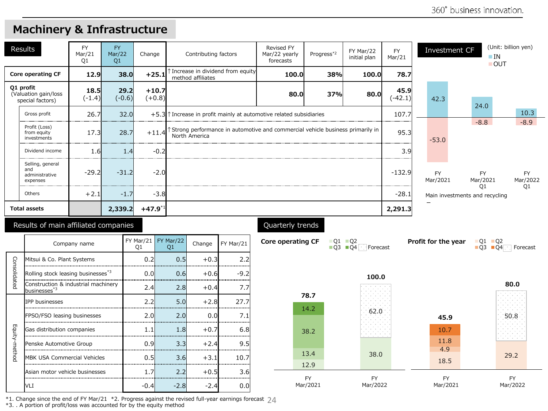|      | Results                                               | <b>FY</b><br>Mar/21<br>O <sub>1</sub> | <b>FY</b><br>Mar/22<br>Q1 | Change                      | Contributing factors                                                                                   | <b>Revised FY</b><br>Mar/22 yearly<br>forecasts | Progress <sup>*2</sup> | FY Mar/22<br>initial plan                                                     | <b>FY</b><br>Mar/21 | Investment CF         |                                                  | (Unit: billion yen)<br>$\blacksquare$ IN<br>OUT |
|------|-------------------------------------------------------|---------------------------------------|---------------------------|-----------------------------|--------------------------------------------------------------------------------------------------------|-------------------------------------------------|------------------------|-------------------------------------------------------------------------------|---------------------|-----------------------|--------------------------------------------------|-------------------------------------------------|
|      | Core operating CF                                     | 12.9                                  | 38.0                      | $+25.1$                     | ↑ Increase in dividend from equity<br>method affiliates                                                | 100.0                                           | 38%                    | 100.0                                                                         | 78.7                |                       |                                                  |                                                 |
|      | Q1 profit<br>(Valuation gain/loss<br>special factors) | 18.5<br>$(-1.4)$                      | 29.2<br>$(-0.6)$          | $+10.7$<br>$(+0.8)$         |                                                                                                        | 37%<br>80.0<br>80.0                             |                        |                                                                               |                     | 42.3                  | 24.0                                             |                                                 |
|      | 26.7<br>32.0<br>Gross profit                          |                                       |                           |                             | $+5.3$ T Increase in profit mainly at automotive related subsidiaries                                  |                                                 |                        |                                                                               |                     |                       |                                                  | 10.3                                            |
|      | Profit (Loss)<br>from equity<br>investments           | 17.3                                  | 28.7                      |                             | +11.4 T Strong performance in automotive and commercial vehicle business primarily in<br>North America |                                                 |                        |                                                                               | 95.3                | $-53.0$               | $-8.8$                                           | $-8.9$                                          |
|      | Dividend income                                       | $-0.2$<br>1.4<br>1.6                  |                           |                             |                                                                                                        |                                                 |                        |                                                                               | 3.9                 |                       |                                                  |                                                 |
|      | Selling, general<br>and<br>administrative<br>expenses | $-29.2$                               | $-31.2$                   | $-2.0$                      |                                                                                                        |                                                 |                        |                                                                               | $-132.9$            | <b>FY</b><br>Mar/2021 | <b>FY</b><br>Mar/2021                            | <b>FY</b><br>Mar/2022                           |
|      | Others                                                | $+2.1$                                | $-1.7$                    | $-3.8$                      |                                                                                                        |                                                 |                        |                                                                               | $-28.1$             |                       | O <sub>1</sub><br>Main investments and recycling | O <sub>1</sub>                                  |
|      | <b>Total assets</b>                                   |                                       | 2,339.2                   | $+47.9^{*1}$                |                                                                                                        |                                                 |                        |                                                                               | 2,291.3             |                       |                                                  |                                                 |
|      | Results of main affiliated companies                  |                                       |                           |                             |                                                                                                        | Quarterly trends                                |                        |                                                                               |                     |                       |                                                  |                                                 |
|      |                                                       | Company name                          |                           | FY Mar/21   FY Mar/22<br>Q1 | FY Mar/21<br>Change<br>Q1                                                                              | Core operating CF                               |                        | $\blacksquare$ Q1 $\blacksquare$ Q2<br>$\Box$ Q3 $\Box$ Q4<br><b>Forecast</b> |                     | Profit for the year   | $Q1$ $Q2$                                        | $\Box$ Q3 $\Box$ Q4 $\Box$ Forecast             |
| Cons | Mitsui & Co. Plant Systems                            |                                       |                           | 0.2                         | 0.5<br>2.2<br>$+0.3$<br>                                                                               |                                                 |                        |                                                                               |                     |                       |                                                  |                                                 |

#### **Machinery & Infrastructure**

|               | Company name                                                    | FY Mar/21<br>Q1 | FY Mar/22<br>Q1 | Change | FY Mar/21 |
|---------------|-----------------------------------------------------------------|-----------------|-----------------|--------|-----------|
|               | Mitsui & Co. Plant Systems                                      | 0.2             | 0.5             | $+0.3$ | 2.2       |
| Consolidatec  | Rolling stock leasing businesses <sup>*3</sup>                  | 0.0             | 0.6             | $+0.6$ | $-9.2$    |
|               | Construction & industrial machinery<br>businesses <sup>*3</sup> | 2.4             | 2.8             | $+0.4$ | 7.7       |
|               | <b>IPP</b> businesses                                           | 2.2             | 5.0             | $+2.8$ | 27.7      |
|               | FPSO/FSO leasing businesses                                     | 2.0             | 2.0             | 0.0    | 7.1       |
|               | Gas distribution companies                                      | 1.1             | 1.8             | $+0.7$ | 6.8       |
| Equity-method | Penske Automotive Group                                         | 0.9             | 3.3             | $+2.4$ | 9.5       |
|               | <b>MBK USA Commercial Vehicles</b>                              | 0.5             | 3.6             | $+3.1$ | 10.7      |
|               | Asian motor vehicle businesses                                  | 1.7             | 2.2             | $+0.5$ | 3.6       |
|               | VLI                                                             | -0.4            | $-2.8$          | $-2.4$ | 0.0       |

\*1. Change since the end of FY Mar/21  $*2$ . Progress against the revised full-year earnings forecast 24

\*3. . A portion of profit/loss was accounted for by the equity method

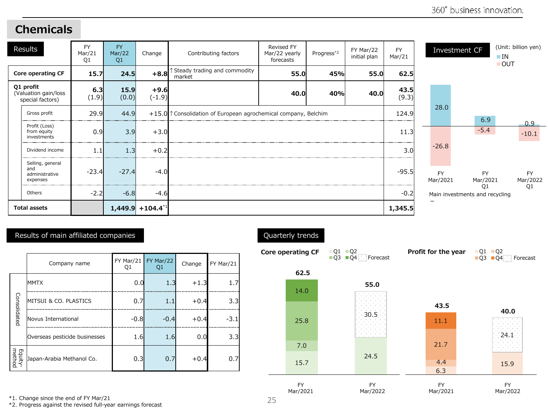#### **Chemicals**

| Results                                               | <b>FY</b><br>Mar/21<br>O <sub>1</sub> | <b>FY</b><br>Mar/22<br>Q1 | Change             | Contributing factors                                          | Revised FY<br>Mar/22 yearly<br>forecasts | Progress <sup>*2</sup> | FY Mar/22<br>initial plan | <b>FY</b><br>Mar/21 |                       | Investment CF                                    | $\blacksquare$ IN<br><b>OUT</b> | (Unit: billion yen)   |
|-------------------------------------------------------|---------------------------------------|---------------------------|--------------------|---------------------------------------------------------------|------------------------------------------|------------------------|---------------------------|---------------------|-----------------------|--------------------------------------------------|---------------------------------|-----------------------|
| Core operating CF                                     | 15.7                                  | 24.5                      | $+8.8$             | ↑ Steady trading and commodity<br>market                      | 55.0                                     | 45%                    | 55.0                      | 62.5                |                       |                                                  |                                 |                       |
| Q1 profit<br>(Valuation gain/loss<br>special factors) | 6.3<br>(1.9)                          | 15.9<br>(0.0)             | $+9.6$<br>$(-1.9)$ |                                                               | 40.0                                     | 40%                    | 40.0                      | 43.5<br>(9.3)       |                       |                                                  |                                 |                       |
| Gross profit                                          | 29.9                                  | 44.9                      |                    | +15.0 Consolidation of European agrochemical company, Belchim |                                          |                        |                           | 124.9               | 28.0                  | 6.9                                              |                                 |                       |
| Profit (Loss)<br>from equity<br>investments           | 0.9                                   | 3.9                       | $+3.0$             |                                                               |                                          |                        |                           | 11.3                |                       | $-5.4$                                           |                                 | 0.9<br>$-10.1$        |
| Dividend income                                       | 1.1                                   | 1.3                       | $+0.2$             |                                                               |                                          |                        |                           | 3.01                | $-26.8$               |                                                  |                                 |                       |
| Selling, general<br>and<br>administrative<br>expenses | $-23.4$                               | $-27.4$                   | $-4.0$             |                                                               |                                          |                        |                           | $-95.5$             | <b>FY</b><br>Mar/2021 | <b>FY</b><br>Mar/2021                            |                                 | <b>FY</b><br>Mar/2022 |
| Others                                                | $-2.2$                                | $-6.8$                    | $-4.6$             |                                                               |                                          |                        |                           | $-0.2$              |                       | O <sub>1</sub><br>Main investments and recycling |                                 | O <sub>1</sub>        |
| <b>Total assets</b>                                   |                                       |                           | $1,449.9$ + 104.4  |                                                               |                                          |                        |                           | 1,345.5             |                       |                                                  |                                 |                       |

#### Results of main affiliated companies

|                   | Company name                  | FY Mar/21<br>Q1 | FY Mar/22<br>Q1 | Change | FY Mar/21 |
|-------------------|-------------------------------|-----------------|-----------------|--------|-----------|
|                   | <b>MMTX</b>                   | 0.0             | 1.3             | $+1.3$ | 1.7       |
| Consolidated      | MITSUI & CO. PLASTICS         | 0.7             | 1.1             | $+0.4$ | 3.3       |
|                   | Novus International           | $-0.8$          | $-0.4$          | $+0.4$ | $-3.1$    |
|                   | Overseas pesticide businesses | 1.6             | 1.6             | 0.0    | 3.3       |
| Equity-<br>method | Japan-Arabia Methanol Co.     | 0.3             | 0.7             | $+0.4$ | 0.7       |

#### Quarterly trends



\*1. Change since the end of FY Mar/21

\*2. Progress against the revised full-year earnings forecast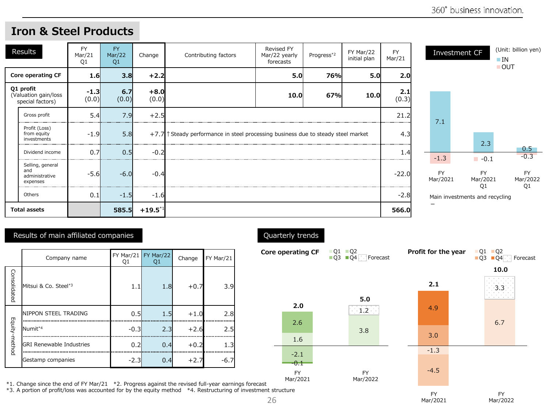#### FY Mar/21 Q1 FY Mar/22 Q1 Change Contributing factors Revised FY Mar/22 yearly forecasts Progress<sup>\*2</sup> FY Mar/22 initial plan **Core operating CF 1.6 3.8 +2.2 5.0 76% 5.0 2.0 Q1 profit** (Valuation gain/loss special factors) **-1.3** (0.0) **6.7** (0.0) **+8.0** (0.0) **10.0 67% 10.0 2.1** Gross profit 5.4 7.9 +2.5 21.2 Profit (Loss) from equity  $-1.9$  5.8  $+7.7$  ↑ Steady performance in steel processing business due to steady steel market 4.3 Results

Dividend income  $\begin{array}{|c|c|c|c|c|}\n\hline\n0.7 & 0.5 & -0.2 \\
\hline\n\end{array}$ 

Others 1 0.1 -1.5 -1.6 -2.8

**Total assets 585.5 +19.5**\*1 **566.0**

-5.6 -6.0 -0.4 - -0.4 - -0.7 - -0.4 - -22.0 - -22.0 -22.0 -22.0 -22.0 -22.0 -22.0

#### **Iron & Steel Products**



#### Results of main affiliated companies

investments

Selling, general and administrative expenses

Copyright  $\mathcal{C}$  mitsuite reserved. All rights reserved.

|               | Company name                     | FY Mar/21<br>Q1 | FY Mar/22<br>Q1 | Change | FY Mar/21        |
|---------------|----------------------------------|-----------------|-----------------|--------|------------------|
| Consolidated  | Mitsui & Co. Steel* <sup>3</sup> | 1.1             | 1.8             | $+0.7$ | 3.9 <sub>l</sub> |
|               | <b>INIPPON STEEL TRADING</b>     | 0.5             | 1.5             | $+1.0$ | 2.8              |
|               | Numit*4                          | $-0.3$          | 2.3             | $+2.6$ | 2.5              |
| Equity-method | <b>GRI Renewable Industries</b>  | 0.2             | 0.4             | $+0.2$ | 1.3              |
|               | Gestamp companies                | $-2.3$          | 0.4             | $+2.7$ | $-6.7$           |

Quarterly trends



Mar/2021

FY Mar/21

(0.3)

\*1. Change since the end of FY Mar/21 \*2. Progress against the revised full-year earnings forecast \*3. A portion of profit/loss was accounted for by the equity method \*4. Restructuring of investment structure

26

Mar/2022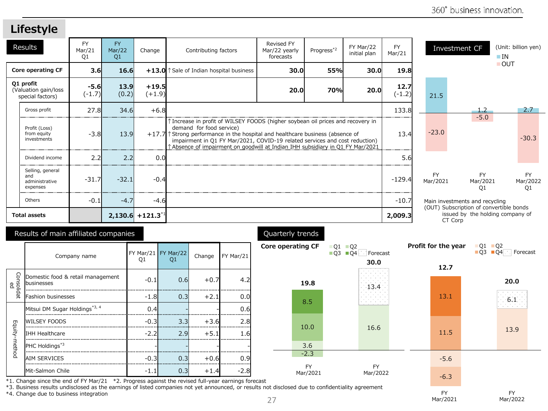#### **Lifestyle**

| Results                                               | <b>FY</b><br>Mar/21<br>Q1 | <b>FY</b><br>Mar/22<br>Q1 | Change                         | Contributing factors                     | <b>Revised FY</b><br>Mar/22 yearly<br>forecasts                                                                                                                                                                                                                                                                                  | Progress*2 | FY Mar/22<br>initial plan | <b>FY</b><br>Mar/21 |                       | Investment CF                                                                          | (Unit: billion yen)<br>$\blacksquare$ IN<br><b>OUT</b> |
|-------------------------------------------------------|---------------------------|---------------------------|--------------------------------|------------------------------------------|----------------------------------------------------------------------------------------------------------------------------------------------------------------------------------------------------------------------------------------------------------------------------------------------------------------------------------|------------|---------------------------|---------------------|-----------------------|----------------------------------------------------------------------------------------|--------------------------------------------------------|
| Core operating CF                                     | 3.6                       | 16.6                      |                                | $+13.0$ Sale of Indian hospital business | 30.0                                                                                                                                                                                                                                                                                                                             | 55%        | 30.0                      | 19.8                |                       |                                                                                        |                                                        |
| Q1 profit<br>(Valuation gain/loss<br>special factors) | $-5.6$<br>$(-1.7)$        | 13.9<br>(0.2)             | $+19.5$<br>$(+1.9)$            |                                          | 20.0                                                                                                                                                                                                                                                                                                                             | 70%        | 20.0                      | 12.7<br>(-1.2)      | 21.5                  |                                                                                        |                                                        |
| Gross profit                                          | 27.8                      | 34.6                      | $+6.8$                         |                                          |                                                                                                                                                                                                                                                                                                                                  |            |                           | 133.8               |                       | 1.2                                                                                    | $2.7 -$                                                |
| Profit (Loss)<br>from equity<br>investments           | $-3.8$                    | 13.9                      |                                | demand for food service)                 | ↑ Increase in profit of WILSEY FOODS (higher soybean oil prices and recovery in<br>$+17.7$ Strong performance in the hospital and healthcare business (absence of<br>impairment in Q1 FY Mar/2021, COVID-19 related services and cost reduction)<br>Absence of impairment on goodwill at Indian IHH subsidiary in Q1 FY Mar/2021 |            |                           |                     | $-23.0$               | $-5.0$                                                                                 | $-30.3$                                                |
| Dividend income                                       | 2.2                       | 2.2                       | 0.0                            |                                          |                                                                                                                                                                                                                                                                                                                                  |            |                           | 5.6                 |                       |                                                                                        |                                                        |
| Selling, general<br>and<br>administrative<br>expenses | $-31.7$                   | $-32.1$                   | $-0.4$                         |                                          |                                                                                                                                                                                                                                                                                                                                  |            |                           | $-129.4$            | <b>FY</b><br>Mar/2021 | <b>FY</b><br>Mar/2021<br>O <sub>1</sub>                                                | <b>FY</b><br>Mar/2022<br>O <sub>1</sub>                |
| Others                                                | $-0.1$                    | $-4.7$                    | $-4.6$                         |                                          |                                                                                                                                                                                                                                                                                                                                  |            |                           | $-10.7$             |                       | Main investments and recycling                                                         |                                                        |
| <b>Total assets</b>                                   |                           |                           | $2,130.6$ +121.3 <sup>*1</sup> |                                          |                                                                                                                                                                                                                                                                                                                                  |            |                           | 2,009.3             |                       | (OUT) Subscription of convertible bonds<br>issued by the holding company of<br>CT Corp |                                                        |

#### Results of main affiliated companies

|                        | Company name                                            | $FY$ Mar/21<br>Q1 | FY Mar/22<br>Q1 | Change | FY Mar/21 |
|------------------------|---------------------------------------------------------|-------------------|-----------------|--------|-----------|
| Consolidat<br><b>e</b> | Domestic food & retail management<br><b>Ibusinesses</b> | $-0.1$            | 0.6             | $+0.7$ | 4.2       |
|                        | Fashion businesses                                      | -1.81             | 0.31            | $+2.1$ | 0.0       |
|                        | Mitsui DM Sugar Holdings*3, 4                           | 0.4               |                 |        | 0.6       |
|                        | lwilsey foods                                           | $-0.3$            | 3.3             | $+3.6$ | 2.8       |
| Equity-method          | IHH Healthcare                                          | $-2.2$            | 2.9             | $+5.1$ | 1.6       |
|                        | PHC Holdings <sup>*3</sup>                              |                   |                 |        |           |
|                        | AIM SERVICES                                            | $-0.3$            | 0.3             | $+0.6$ | 0.9       |
|                        | Mit-Salmon Chile                                        | $-1.1$            | 0.3             | $+1.4$ | $-2.8$    |

#### Quarterly trends

| Core operating CF                                                         | $\blacksquare$ Q1<br>$\blacksquare$ Q2<br>$\Box$ Q3 $\Box$ Q4 Forecast | Profit for the year | $\blacksquare$ Q1 $\blacksquare$ Q2<br>Q3 Q4 Forecast |
|---------------------------------------------------------------------------|------------------------------------------------------------------------|---------------------|-------------------------------------------------------|
|                                                                           | 30.0                                                                   | 12.7                |                                                       |
| 19.8                                                                      |                                                                        |                     | 20.0                                                  |
| 8.5                                                                       |                                                                        | 13.1                |                                                       |
| 10.0                                                                      | 16.6                                                                   | 11.5                | 13.9                                                  |
| 3.6                                                                       |                                                                        |                     |                                                       |
| $-2.3$                                                                    |                                                                        | $-5.6$              |                                                       |
| FY<br>Mar/2021<br>ast<br>s not disclosed due to confidentiality agreement | FY<br>Mar/2022                                                         | $-6.3$              |                                                       |

FY Mar/2021

FY Mar/2022

\*1. Change since the end of FY Mar/21 \*2. Progress against the revised full-year earnings forecast

\*3. Business results undisclosed as the earnings of listed companies not yet announced, or results not disclosed due to confidentiality agreement

\*4. Change due to business integration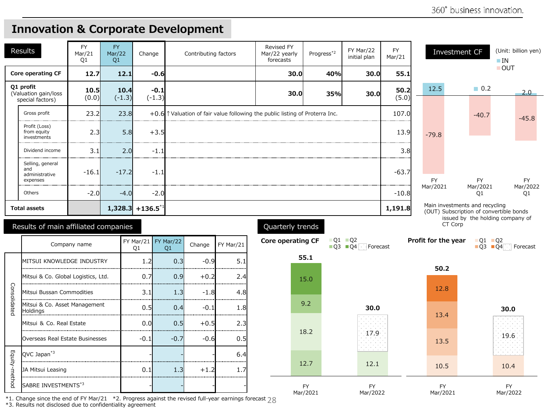Mar/2021

Mar/2022

#### **Innovation & Corporate Development**

|               | <b>Results</b>                                        | <b>FY</b><br>Mar/21<br>O <sub>1</sub> | <b>FY</b><br>Mar/22<br>Q1      | Change         |                           | Contributing factors |           | Revised FY<br>Mar/22 yearly<br>forecasts                                              | Progress <sup>*2</sup> | FY Mar/22<br>initial plan                                                              | <b>FY</b><br>Mar/21 |                     | Investment CF                                                             | (Unit: billion yen)<br>$\blacksquare$ IN |
|---------------|-------------------------------------------------------|---------------------------------------|--------------------------------|----------------|---------------------------|----------------------|-----------|---------------------------------------------------------------------------------------|------------------------|----------------------------------------------------------------------------------------|---------------------|---------------------|---------------------------------------------------------------------------|------------------------------------------|
|               | Core operating CF                                     | 12.7                                  | 12.1                           |                | $-0.6$                    |                      |           | 30.0                                                                                  | 40%                    | 30.0                                                                                   | 55.1                |                     |                                                                           | $\blacksquare$ OUT                       |
|               | Q1 profit<br>(Valuation gain/loss<br>special factors) | 10.5<br>(0.0)                         | 10.4<br>$(-1.3)$               |                | $-0.1$<br>$(-1.3)$        |                      |           | 30.0                                                                                  | 35%                    | 30.0                                                                                   | 50.2<br>(5.0)       | 12.5                | $\Box$ 0.2                                                                | $2.0 -$                                  |
|               | Gross profit                                          | 23.2                                  | 23.8                           |                |                           |                      |           | +0.6 $\uparrow$ Valuation of fair value following the public listing of Proterra Inc. |                        |                                                                                        | 107.0               |                     | $-40.7$                                                                   | $-45.8$                                  |
|               | Profit (Loss)<br>from equity<br>investments           | 2.3                                   | 5.8                            |                | $+3.5$                    |                      |           |                                                                                       |                        |                                                                                        | 13.9                | $-79.8$             |                                                                           |                                          |
|               | Dividend income                                       | 3.1                                   | 2.0                            |                | $-1.1$                    |                      |           |                                                                                       |                        |                                                                                        | 3.8                 |                     |                                                                           |                                          |
|               | Selling, general<br>and<br>administrative<br>expenses | $-16.1$                               | $-17.2$                        |                | $-1.1$                    |                      |           |                                                                                       |                        |                                                                                        | $-63.7$             | <b>FY</b>           | FY.                                                                       | <b>FY</b>                                |
|               | Others                                                | $-2.0$                                | $-4.0$                         |                | $-2.0$                    |                      |           |                                                                                       |                        |                                                                                        | $-10.8$             | Mar/2021            | Mar/2021<br>O1                                                            | Mar/2022<br>Q1                           |
|               | <b>Total assets</b>                                   |                                       | $1,328.3$ + 136.5 <sup>*</sup> |                |                           |                      |           |                                                                                       |                        |                                                                                        | 1,191.8             |                     | Main investments and recycling<br>(OUT) Subscription of convertible bonds |                                          |
|               | Results of main affiliated companies                  |                                       |                                |                |                           |                      |           | Quarterly trends                                                                      |                        |                                                                                        |                     |                     | issued by the holding company of<br>CT Corp                               |                                          |
|               |                                                       | Company name                          |                                | Q <sub>1</sub> | FY Mar/21 FY Mar/22<br>Q1 | Change               | FY Mar/21 | <b>Core operating CF</b>                                                              |                        | $\blacksquare$ Q1 $\blacksquare$ Q2<br>$\blacksquare$ Q3 $\blacksquare$ Q4<br>Forecast |                     | Profit for the year | $\blacksquare$ Q1 $\blacksquare$ Q2<br>$Q3$ $Q4$                          | Forecast                                 |
|               | MITSUI KNOWLEDGE INDUSTRY                             |                                       |                                | 1.2            | 0.3                       | $-0.9$               | 5.1       |                                                                                       | 55.1                   |                                                                                        |                     | 50.2                |                                                                           |                                          |
|               | Mitsui & Co. Global Logistics, Ltd.<br>               |                                       |                                | 0.7            | 0.9                       | $+0.2$               | 2.4       |                                                                                       | 15.0                   |                                                                                        |                     |                     |                                                                           |                                          |
|               | Mitsui Bussan Commodities                             |                                       |                                | 3.1            | 1.3                       | $-1.8$               | 4.8       |                                                                                       |                        |                                                                                        |                     | 12.8                |                                                                           |                                          |
| Consolidated  | Mitsui & Co. Asset Management<br>Holdings             |                                       |                                | 0.5            | 0.4                       | $-0.1$               | 1.8       |                                                                                       | 9.2                    | 30.0                                                                                   |                     |                     |                                                                           | 30.0                                     |
|               | Mitsui & Co. Real Estate                              |                                       |                                | 0.0            | 0.5                       | $+0.5$               | 2.3       |                                                                                       |                        |                                                                                        |                     | 13.4                |                                                                           |                                          |
|               | Overseas Real Estate Businesses                       |                                       |                                | $-0.1$         | $-0.7$                    | $-0.6$               | 0.5       |                                                                                       | 18.2                   | $-17.9$                                                                                |                     | 13.5                |                                                                           | 19.6                                     |
|               | QVC Japan <sup>*3</sup>                               |                                       |                                |                |                           |                      | 6.4       |                                                                                       |                        |                                                                                        |                     |                     |                                                                           |                                          |
| Equity-method | <br>JA Mitsui Leasing                                 |                                       |                                | 0.1            | 1.3                       | $+1.2$               | 1.7       |                                                                                       | 12.7                   | 12.1                                                                                   |                     | 10.5                |                                                                           | 10.4                                     |
|               | SABRE INVESTMENTS*3                                   |                                       |                                |                |                           |                      |           |                                                                                       | <b>FY</b>              | <b>FY</b>                                                                              |                     | <b>FY</b>           |                                                                           | <b>FY</b>                                |

Mar/2021

Mar/2022

\*1. Change since the end of FY Mar/21 \*2. Progress against the revised full-year earnings forecast 28<br>\*3. Results not disclosed due to confidentiality agreement